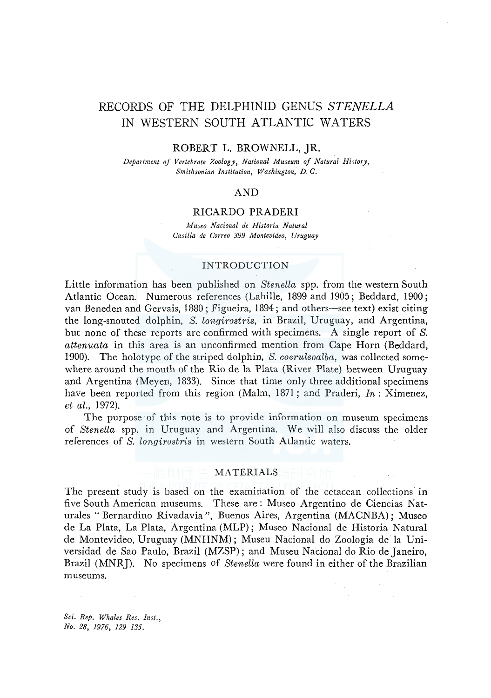# RECORDS OF THE DELPHINID GENUS *STENELLA*  IN WESTERN SOUTH ATLANTIC WATERS

#### ROBERT L. BROWNELL, JR.

*Department of Vertebrate Zoology, National Museum of Natural History, Smithsonian Institution, Washington, D. C.* 

## AND

#### RICARDO PRADER!

*Afuseo Nacional de Historia Natural Casilla de Correo 399 Montevideo, Uruguay* 

#### INTRODUCTION

Little information has been published on *Stenella* spp. from the western South Atlantic Ocean. Numerous references (Lahille, 1899 and 1905; Beddard, 1900; van Beneden and Gervais, 1880; Figueira, 1894; and others-see text) exist citing the long-snouted dolphin, *S. longirostris,* in Brazil, Uruguay, and Argentina, but none of these reports are confirmed with specimens. A single report of *S. attenuata* in this area is an unconfirmed mention from Cape Horn (Beddard, 1900). The holotype of the striped dolphin, *S. coeruleoalba,* was collected somewhere around the mouth of the Rio de la Plata (River Plate) between Uruguay and Argentina (Meyen, 1833). Since that time only three additional specimens have been reported from this region (Malm, 1871; and Praderi, *In:* Ximenez, *et al.,* 1972).

The purpose of this note is to provide information on museum specimens of *Stenella* spp. in Uruguay and Argentina. We will also discuss the older references of *S. longirostris* in western South Atlantic waters.

#### MATERIALS

The present study is based on the examination of the cetacean collections in five South American museums. These are: Museo Argentino de Ciencias Naturales "Bernardino Rivadavia ", Buenos Aires, Argentina (MACNBA); Museo de La Plata, La Plata, Argentina (MLP); Museo Nacional de Historia Natural de Montevideo, Uruguay (MNHNM); Museu Nacional do Zoologia de la Universidad de Sao Paulo, Brazil (MZSP); and Museu Nacional do Rio de Janeiro, Brazil (MNRJ). No specimens of *Stenella* were found in either of the Brazilian museums.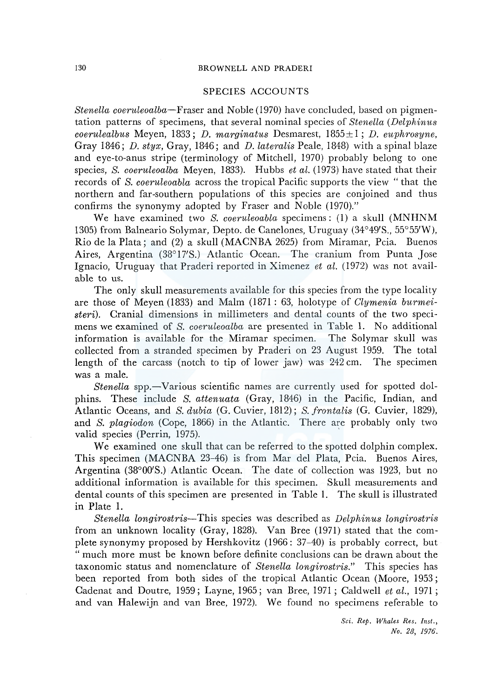#### 130 BROWNELL AND PRADERI

### SPECIES ACCOUNTS

*Stenella coeruleoalba-Fraser* and Noble (1970) have concluded, based on pigmentation patterns of specimens, that several nominal species of *Stenella (Delphinits coerulealbus* Meyen, 1833; *D. marginatus* Desmarest, 1855± 1; *D. euphrosyne,*  Gray 1846; *D. styx,* Gray, 1846; and *D. lateralis* Peale, 1848) with a spinal blaze and eye-to-anus stripe (terminology of Mitchell, 1970) probably belong to one species, *S. coeruleoalba* Meyen, 1833). Hubbs *et al.* (1973) have stated that their records of *S. coeruleoabla* across the tropical Pacific supports the view " that the northern and far-southern populations of this species are conjoined and thus confirms the synonymy adopted by Fraser and Noble (1970)."

We have examined two *S. coeruleoabla* specimens: (1) a skull (MNHNM 1305) from Balneario Solymar, Depto. de Canelones, Uruguay (34°49'S., 55°55'W), Rio de la Plata; and (2) a skull (MACNBA 2625) from Miramar, Pcia. Buenos Aires, Argentina (38°17'S.) Atlantic Ocean. The cranium from Punta Jose Ignacio, Uruguay that Praderi reported in Ximenez *et al.* (1972) was not available to us.

The only skull measurements available for this species from the type locality are those of Meyen (1833) and Malm (1871 : 63, holotype of *Clymenia bitrmeisteri).* Cranial dimensions in millimeters and dental counts of the two specimens we examined of *S. coeruleoalba* are presented in Table 1. No additional information is available for the Miramar specimen. The Solymar skull was collected from a stranded specimen by Praderi on 23 August 1959. The total length of the carcass (notch to tip of lower jaw) was 242 cm. The specimen was a male.

*Stenella* spp.-Various scientific names are currently used for spotted dolphins. These include *S. attenuata* (Gray, 1846) in the Pacific, Indian, and Atlantic Oceans, and *S. dubia* (G. Cuvier, 1812); *S. frontalis* (G. Cuvier, 1829), and *S. plagiodon* (Cope, 1866) in the Atlantic. There are probably only two valid species (Perrin, 1975).

We examined one skull that can be referred to the spotted dolphin complex. This specimen (MACNBA 23-46) is from Mar del Plata, Pcia. Buenos Aires, Argentina (38°00'S.) Atlantic Ocean. The date of collection was 1923, but no additional information is available for this specimen. Skull measurements and dental counts of this specimen are presented in Table 1. The skull is illustrated in Plate 1.

*Stenella longirostris-*This species was described as *Delphinus longirostris*  from an unknown locality (Gray, 1828). Van Bree (1971) stated that the complete synonymy proposed by Hershkovitz (1966: 37-40) is probably correct, but "much more must be known before definite conclusions can be drawn about the taxonomic status and nomenclature of *Stenella longirostris."* This species has been reported from both sides of the tropical Atlantic Ocean (Moore, 1953; Cadenat and Doutre, 1959; Layne, 1965; van Bree, 1971; Caldwell *et al.,* 1971; and van Halewijn and van Bree, 1972). We found no specimens referable to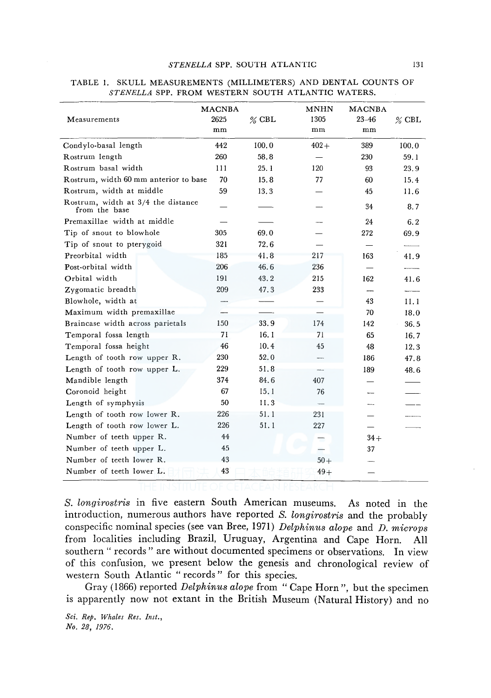|                                                     | <b>MACNBA</b><br>2625 |          | <b>MNHN</b><br>1305 | <b>MACNBA</b><br>$23 - 46$ |          |
|-----------------------------------------------------|-----------------------|----------|---------------------|----------------------------|----------|
| Measurements                                        | mm                    | $\%$ CBL | mm                  | mm                         | $\%$ CBL |
| Condylo-basal length                                | 442                   | 100.0    | $402 +$             | 389                        | 100.0    |
| Rostrum length                                      | 260                   | 58.8     |                     | 230                        | 59.1     |
| Rostrum basal width                                 | 111                   | 25.1     | 120                 | 93                         | 23.9     |
| Rostrum, width 60 mm anterior to base               | 70                    | 15.8     | 77                  | 60                         | 15.4     |
| Rostrum, width at middle                            | 59                    | 13.3     |                     | 45                         | 11.6     |
| Rostrum, width at 3/4 the distance<br>from the base |                       |          |                     | 34                         | 8.7      |
| Premaxillae width at middle                         |                       |          |                     | 24                         | 6.2      |
| Tip of snout to blowhole                            | 305                   | 69.0     |                     | 272                        | 69.9     |
| Tip of snout to pterygoid                           | 321                   | 72.6     |                     |                            |          |
| Preorbital width                                    | 185                   | 41.8     | 217                 | 163                        | 41.9     |
| Post-orbital width                                  | 206                   | 46.6     | 236                 |                            |          |
| Orbital width                                       | 191                   | 43.2     | 215                 | 162                        | 41.6     |
| Zygomatic breadth                                   | 209                   | 47.3     | 233                 |                            |          |
| Blowhole, width at                                  |                       |          |                     | 43                         | 11.1     |
| Maximum width premaxillae                           |                       |          |                     | 70                         | 18.0     |
| Braincase width across parietals                    | 150                   | 33.9     | 174                 | 142                        | 36.5     |
| Temporal fossa length                               | 71                    | 16.1     | 71                  | 65                         | 16.7     |
| Temporal fossa height                               | 46                    | 10.4     | 45                  | 48                         | 12.3     |
| Length of tooth row upper R.                        | 230                   | 52.0     |                     | 186                        | 47.8     |
| Length of tooth row upper L.                        | 229                   | 51.8     |                     | 189                        | 48.6     |
| Mandible length                                     | 374                   | 84.6     | 407                 |                            |          |
| Coronoid height                                     | 67                    | 15.1     | 76                  |                            |          |
| Length of symphysis                                 | 50                    | 11.3     |                     |                            |          |
| Length of tooth row lower R.                        | 226                   | 51.1     | 231                 |                            |          |
| Length of tooth row lower L.                        | 226                   | 51.1     | 227                 |                            |          |
| Number of teeth upper R.                            | 44                    |          |                     | $34+$                      |          |
| Number of teeth upper L.                            | 45                    |          |                     | 37                         |          |
| Number of teeth lower R.                            | 43                    |          | $50+$               |                            |          |
| Number of teeth lower L.                            | 43                    |          | $49+$               |                            |          |

### TABLE 1. SKULL MEASUREMENTS (MILLIMETERS) AND DENTAL COUNTS OF *STENELLA* SPP. FROM WESTERN SOUTH ATLANTIC WATERS.

*S. longirostris* in five eastern South American museums. As noted in the introduction, numerous authors have reported *S. longirostris* and the probably conspecific nominal species (see van Bree, 1971) *Delphinus alope* and *D. microps*  from localities including Brazil, Uruguay, Argentina and Cape Horn. All southern " records " are without documented specimens or observations. In view of this confusion, we present below the genesis and chronological review of western South Atlantic "records" for this species.

Gray (1866) reported *Delphinus alope* from "Cape Horn", but the specimen is apparently now not extant in the British Museum (Natural History) and no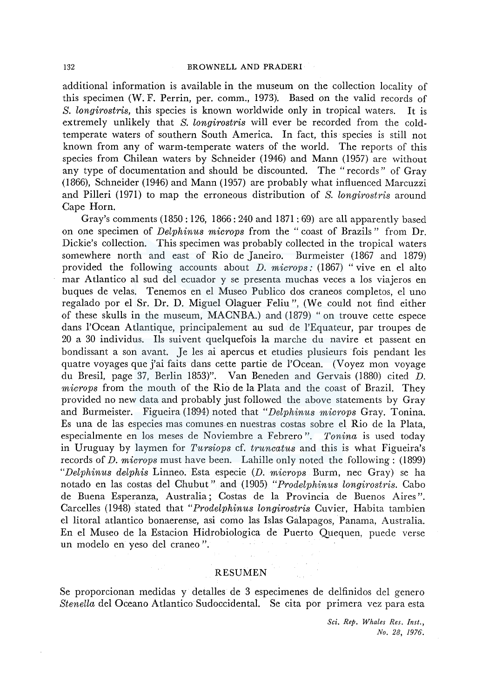additional information is available in the museum on the collection locality of this specimen (W. F. Perrin, per. comm., 1973). Based on the valid records of *S. longirostris,* this species is known worldwide only in tropical waters. It is extremely unlikely that *S. longirostris* will ever be recorded from the coldtemperate waters of southern South America. In fact, this species is still not known from any of warm-temperate waters of the world. The reports of this species from Chilean waters by Schneider (1946) and Mann (1957) are without any type of documentation and should be discounted. The "records" of Gray (1866), Schneider (1946) and Mann (1957) are probably what influenced Marcuzzi and Pilleri (1971) to map the erroneous distribution of *S. longirostris* around Cape Horn.

Gray's comments (1850: 126, 1866: 240 and 1871: 69) are all apparently based on one specimen of *Delphinus microps* from the " coast of Brazils " from Dr. Dickie's collection. This specimen was probably collected in the tropical waters somewhere north and east of Rio de Janeiro. Burmeister (1867 and 1879) provided the following accounts about *D. microps:* (1867) "vive en el alto mar Atlantico al sud del ecuador y se presenta muchas veces a los viajeros en buques de velas. Tenemos en el Museo Publico dos craneos completos, el uno regalado por el Sr. Dr. D. Miguel Olaguer Feliu", (We could not find either of these skulls in the museum, MACNBA.) and (1879) "on trouve cette espece dans l'Ocean Atlantique, principalement au sud de l'Equateur, par troupes de 20 a 30 individus. Ils suivent quelquefois la marche du navire et passent en bondissant a son avant. Je les ai apercus et etudies plusieurs fois pendant les quatre voyages que j'ai faits dans cette partie de l'Ocean. (Voyez mon voyage du Bresil, page 37, Berlin 1853)". Van Beneden and Gervais (1880) cited D. *microps* from the mouth of the Rio de la Plata and the coast of Brazil. They provided no new data and probably just followed the above statements by Gray and Burmeister. Figueira (1894) noted that *"Delphinus microps* Gray. Tonina. Es una de las especies mas comunes en nuestras costas sobre el Rio de la Plata, especialmente en los meses de Noviembre a Febrero ". *Tonina* is used today in Uruguay by laymen for *Tursiops* cf. *truncatus* and this is what Figueira's records of *D. microps* must have been. Lahille only noted the following: (1899) *"Delphinus delphis* Linneo. Esta especie (D. *microps* Burm, nee Gray) se ha notado en las costas del Chubut" and (1905) *"Prodelphinus longirostris.* Caho de Buena Esperanza, Australia; Costas de la Provincia de Buenos Aires". Carcelles (1948) stated that *"Prodelphinus longirostris* Cuvier, Habita tambien el litoral atlantico bonaerense, asi como las Islas Galapagos, Panama, Australia. En el Museo de la Estacion Hidrobiologica de Puerto Quequen, puede verse un modelo en yeso del craneo ".

#### RESUMEN

Se proporcionan medidas y detalles de 3 especimenes de delfinidos del genero *Stenella* del Oceano Atlantico Sudoccidental. Se cita por primera vez para esta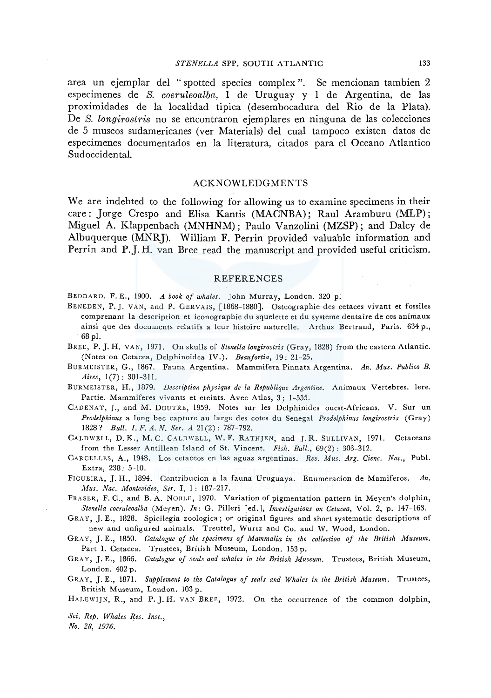#### *STENELLA* SPP. SOUTH ATLANTIC 133

area un ejemplar del "spotted species complex". Se mencionan tambien 2 especimenes de *S. coeruleoalba,* 1 de Uruguay y 1 de Argentina, de las proximidades de la localidad tipica (desembocadura del Rio de la Plata). De *S. longirostris* no se encontraron ejemplares en ninguna de las colecciones de 5 museos sudamericanes (ver Materials) del cual tampoco existen datos de especimenes documentados en la literatura, citados para el Oceano Atlantico Sudoccidental.

### **ACKNOWLEDGMENTS**

We are indebted to the following for allowing us to examine specimens in their care : Jorge Crespo and Elisa Kantis (MACNBA); Raul Aramburu (MLP); Miguel A. Klappenbach (MNHNM) ; Paulo Vanzolini (MZSP) ; and Daley de Albuquerque (MNRJ). William F. Perrin provided valuable information and Perrin and P.J. H. van Bree read the manuscript and provided useful criticism.

#### REFERENCES

BEDDARD. F. E., 1900. *A book of whales.* John Murray, London. 320 p.

- BENEDEN, P. J. VAN, and P. GERVAIS, [ 1868-1880]. Osteographie des cetaces vivant et fossiles comprenant la description et iconographie du squelette et du systenie dentaire de ces animaux ainsi que des documents relatifs a leur histoire naturelle. Arthus Bertrand, Paris. 634 p., 68 pl.
- BREE, P. J. H. VAN, 1971. On skulls of *Stenella longirostris* (Gray, 1828) from the eastern Atlantic. (Notes on Cetacea, Delphinoidea IV.). *Beaufortia,* 19: 21-25.
- BURMEISTER, G., 1867. Fauna Argentina. Mammifera Pinnata Argentina. *An. Mus. Publico B. Aires,* 1(7): 301-311.
- BURMEISTER, H., 1879. *Description physique de la Republique Argentine.* Animaux Vertebres. !ere. Partie. Mammiferes vivants et eteints. Avec Atlas, 3: 1-555.
- CADENAT, J., and M. DoUTRE, 1959. Notes sur les Delphinides ouest-Africans. V. Sur un *Prodelphinus* a long bee capture au large des cotes du Senegal *Prodelphinus longirostris* (Gray) 1828? *Bull. I. F. A. N. Ser. A* 21 (2): 787-792.
- CALDWELL, D. K., M. C. CALDWELL, W. F. RATHJEN, and J. R. SULLIVAN, 1971. Cetaceans from the Lesser Antillean Island of St. Vincent. *Fish. Bull.,* 69(2) : 303-312.
- CARCELLES, A., 1948. Los cetaceos en las aguas argentinas. *Rev. Mus. Arg. Cienc. Nat.,* Pub!. Extra, 238: 5-10.
- FIGUEIRA, J. H., 1894. Contribucion a la fauna Uruguaya. Enumeracion de Mamiferos. *An. Afus, Nac. Afontevideo, Ser.* I, 1: 187-217.
- FRASER, F. C., and B. A. NOBLE, 1970. Variation of pigmentation pattern in Meyen's dolphin, *Stenella coeruleoalba* (Meyen). *In:* G. Pilleri [ed.], *Investigations on Cetacea,* Vol. 2, p. 147-163.
- GRAY, J.E., 1828. Spicilegia zoologica; or original figures and short systematic descriptions of new and unfigured animals. Treuttel, Wurtz and Co. and W. Wood, London.
- GRAY, J.E., 1850. *Catalogue of the specimens of Mammalia in the collection of the British Museum.*  Part I. Cetacea. Trustees, British Museum, London. 153 p.
- GRAY, J.E., 1866. *Catalogue of seals and whales in the British Museum.* Trustees, British Museum, London. 402 p.
- GRAY, J.E., 1871. *Supplement to the Catalogue of seals and Whales in the British Museum.* Trustees, British Museum, London. 103 p.
- HALEWIJN, R., and P. J. H. VAN BREE, 1972. On the occurrence of the common dolphin,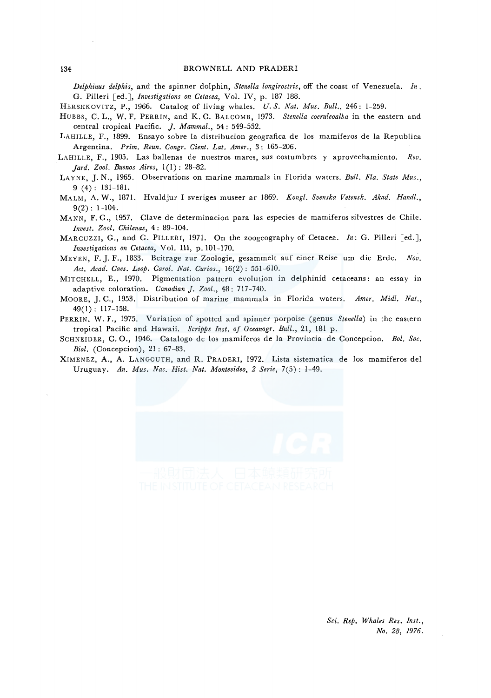*Delphinus delphis,* and the spinner dolphin, *Stenella longirostris,* off the coast of Venezuela. *In.*  G. Pilleri [ed.], *Investigations on Cetacea,* Vol. IV, p. 187-188.

HERSHKOVITZ, P., 1966. Catalog of living whales. *U.S. Nat. Mus. Bull.,* 246: 1-259.

HUBBS, C. L., W. F. PERRIN, and K. C. BALCOMB, 1973. *Stenella coeruleoalba* in the eastern and central tropical Pacific. *J. Mammal.,* 54: 549-552.

LAHILLE, F., 1899. Ensayo sabre la distribucion geografica de los mamiferos de la Republica Argentina. *Prim. Reun. Congr. Cient. Lat. Amer.,* 3: 165-206.

- LAHILLE, F., 1905. Las ballenas de nuestros mares, sus costumbres y aprovechamiento. *Rev. Jard. Zool. Buenos Aires,*  $1(1)$ : 28-82.
- LAYNE, J. N., 1965. Observations on marine mammals in Florida waters. *Bull. Fla. State Mus.,*  9 (4): 131-181.
- MALM, A. W., 1871. Hvaldjur I sveriges museer ar 1869. *Kong!. Svenska Vetensk. Akad. Hand!.,*   $9(2): 1-104.$
- MANN, F. G., 1957. Clave de determinacion para las especies de mamiferos silvestres de Chile. *Invest. Zoo!. Chilenas,* 4: 89-104.
- MARCUZZI, G., and G. PILLER!, 1971. On the zoogeography of Cetacea. *In:* G. Pilleri [ed.], *Investigations on Cetacea,* Vol. III, p. 101-170.
- MEYEN, F. J. F., 1833. Beitrage zur Zoologie, gesammelt auf einer Reise um die Erde. Nov. *Act. Acad. Caes. Leop. Carol. Nat. Curios.,* 16(2): 551-610.
- MITCHELL, E., 1970. Pigmentation pattern evolution in delphinid cetaceans: an essay in adaptive coloration. *Canadian J. Zool.,* 48: 717-740.
- MOORE, J.C., 1953. Distribution of marine mammals in Florida waters. *Amer. Mid[. Nat.,*  49(1): 117-158.

PERRIN, W. F., 1975. Variation of spotted and spinner porpoise (genus *Stenella)* in the eastern tropical Pacific and Hawaii. *Scripps Inst. of Oceanogr. Bull.,* 21, 181 p.

- SCHNEIDER, C. 0., 1946. Catalogo de los mamiferos de la Provincia de Concepcion. *Bol. Soc. Biol.* (Concepcion), 21: 67-83.
- XIMENEZ, A., A. LANGGUTH, and R. PRADER!, 1972. Lista sistematica de los mamiferos de! Uruguay. An. Mus. Nac. Hist. Nat. Montevideo, 2 Serie, 7(5): 1-49.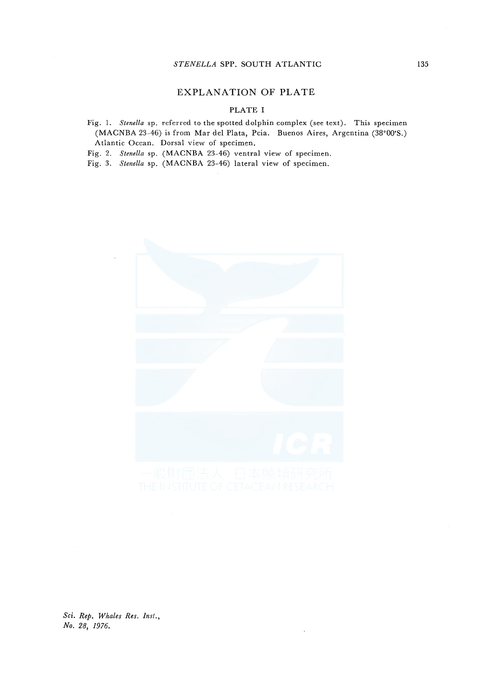#### *STENELLA* SPP. SOUTH ATLANTIC

## EXPLANATION OF PLATE

# PLATE I

Fig. 1. *Stenella* sp. referred to the spotted dolphin complex (see text). This specimen (MACNBA 23-46) is from Mar del Plata, Pcia. Buenos Aires, Argentina (38°00'S.) Atlantic Ocean. Dorsal view of specimen.

Fig. 2. *Stenella* sp. (MACNBA 23-46) ventral view of specimen.

Fig. 3. *Stenella* sp. (MACNBA 23-46) lateral view of specimen.